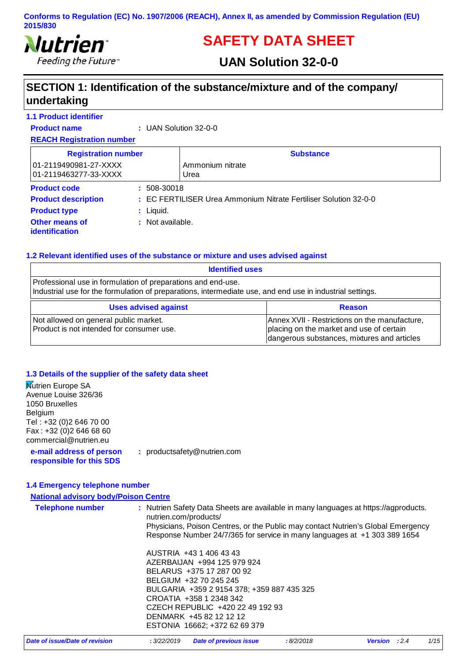

# **SAFETY DATA SHEET**

## **UAN Solution 32-0-0**

## **SECTION 1: Identification of the substance/mixture and of the company/ undertaking**

| <b>1.1 Product identifier</b>                  |                                  |                                                                  |
|------------------------------------------------|----------------------------------|------------------------------------------------------------------|
| <b>Product name</b>                            | $\therefore$ UAN Solution 32-0-0 |                                                                  |
| <b>REACH Registration number</b>               |                                  |                                                                  |
| <b>Registration number</b>                     |                                  | <b>Substance</b>                                                 |
| 01-2119490981-27-XXXX<br>01-2119463277-33-XXXX |                                  | Ammonium nitrate<br>Urea                                         |
| <b>Product code</b>                            | $: 508 - 30018$                  |                                                                  |
| <b>Product description</b>                     |                                  | : EC FERTILISER Urea Ammonium Nitrate Fertiliser Solution 32-0-0 |
| <b>Product type</b>                            | : Liguid.                        |                                                                  |
| <b>Other means of</b><br><i>identification</i> | : Not available.                 |                                                                  |

### **1.2 Relevant identified uses of the substance or mixture and uses advised against**

| <b>Identified uses</b>                                                                                                                                                    |                                                                                                                                          |
|---------------------------------------------------------------------------------------------------------------------------------------------------------------------------|------------------------------------------------------------------------------------------------------------------------------------------|
| Professional use in formulation of preparations and end-use.<br>Industrial use for the formulation of preparations, intermediate use, and end use in industrial settings. |                                                                                                                                          |
| <b>Uses advised against</b>                                                                                                                                               | <b>Reason</b>                                                                                                                            |
| Not allowed on general public market.<br>Product is not intended for consumer use.                                                                                        | Annex XVII - Restrictions on the manufacture,<br>placing on the market and use of certain<br>dangerous substances, mixtures and articles |

### **1.3 Details of the supplier of the safety data sheet**

| Mutrien Europe SA<br>Avenue Louise 326/36<br>1050 Bruxelles<br>Belgium<br>Tel: +32 (0)2 646 70 00<br>Fax: +32 (0)2 646 68 60<br>commercial@nutrien.eu |                                                                                                                                                                                                                                                                                        |
|-------------------------------------------------------------------------------------------------------------------------------------------------------|----------------------------------------------------------------------------------------------------------------------------------------------------------------------------------------------------------------------------------------------------------------------------------------|
| e-mail address of person<br>responsible for this SDS                                                                                                  | : productsafety@nutrien.com                                                                                                                                                                                                                                                            |
| 1.4 Emergency telephone number                                                                                                                        |                                                                                                                                                                                                                                                                                        |
| <b>National advisory body/Poison Centre</b>                                                                                                           |                                                                                                                                                                                                                                                                                        |
| <b>Telephone number</b>                                                                                                                               | : Nutrien Safety Data Sheets are available in many languages at https://agproducts.<br>nutrien.com/products/<br>Physicians, Poison Centres, or the Public may contact Nutrien's Global Emergency<br>Response Number 24/7/365 for service in many languages at +1 303 389 1654          |
|                                                                                                                                                       | AUSTRIA +43 1 406 43 43<br>AZERBAIJAN +994 125 979 924<br>BELARUS +375 17 287 00 92<br>BELGIUM +32 70 245 245<br>BULGARIA +359 2 9154 378; +359 887 435 325<br>CROATIA +358 1 2348 342<br>CZECH REPUBLIC +420 22 49 192 93<br>DENMARK +45 82 12 12 12<br>ESTONIA 16662; +372 62 69 379 |

| Date of issue/Date of revision | : 3/22/2019 Date of previous issue | 8/2/2018 | <b>Version</b> : 2.4 | 1/15 |
|--------------------------------|------------------------------------|----------|----------------------|------|
|--------------------------------|------------------------------------|----------|----------------------|------|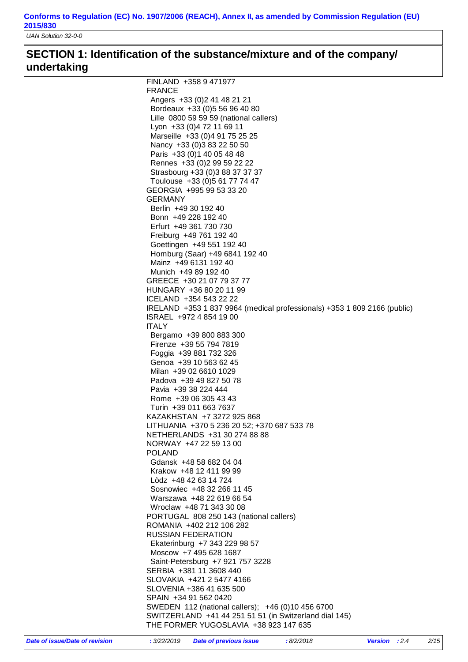*UAN Solution 32-0-0*

## **SECTION 1: Identification of the substance/mixture and of the company/ undertaking**

| FINLAND +358 9 471977                                                    |
|--------------------------------------------------------------------------|
| <b>FRANCE</b>                                                            |
| Angers +33 (0) 2 41 48 21 21                                             |
| Bordeaux +33 (0) 5 56 96 40 80                                           |
| Lille 0800 59 59 59 (national callers)                                   |
| Lyon +33 (0) 4 72 11 69 11                                               |
| Marseille +33 (0)4 91 75 25 25                                           |
| Nancy +33 (0) 3 83 22 50 50                                              |
| Paris +33 (0) 1 40 05 48 48                                              |
| Rennes +33 (0) 2 99 59 22 22                                             |
| Strasbourg +33 (0)3 88 37 37 37                                          |
| Toulouse +33 (0) 5 61 77 74 47                                           |
| GEORGIA +995 99 53 33 20                                                 |
| GERMANY                                                                  |
| Berlin +49 30 192 40                                                     |
| Bonn +49 228 192 40                                                      |
| Erfurt +49 361 730 730                                                   |
| Freiburg +49 761 192 40                                                  |
| Goettingen +49 551 192 40                                                |
|                                                                          |
| Homburg (Saar) +49 6841 192 40                                           |
| Mainz +49 6131 192 40                                                    |
| Munich +49 89 192 40                                                     |
| GREECE +30 21 07 79 37 77                                                |
| HUNGARY +36 80 20 11 99                                                  |
| ICELAND +354 543 22 22                                                   |
| IRELAND +353 1 837 9964 (medical professionals) +353 1 809 2166 (public) |
| ISRAEL +972 4 854 19 00                                                  |
| <b>ITALY</b>                                                             |
| Bergamo +39 800 883 300                                                  |
| Firenze +39 55 794 7819                                                  |
| Foggia +39 881 732 326                                                   |
| Genoa +39 10 563 62 45                                                   |
| Milan +39 02 6610 1029                                                   |
| Padova +39 49 827 50 78                                                  |
| Pavia +39 38 224 444                                                     |
| Rome +39 06 305 43 43                                                    |
| Turin +39 011 663 7637                                                   |
| KAZAKHSTAN +7 3272 925 868                                               |
| LITHUANIA +370 5 236 20 52; +370 687 533 78                              |
| NETHERLANDS +31 30 274 88 88                                             |
| NORWAY +47 22 59 13 00                                                   |
| <b>POLAND</b>                                                            |
| Gdansk +48 58 682 04 04                                                  |
| Krakow +48 12 411 99 99                                                  |
| Lòdz +48 42 63 14 724                                                    |
| Sosnowiec +48 32 266 11 45                                               |
| Warszawa +48 22 619 66 54                                                |
| Wroclaw +48 71 343 30 08                                                 |
| PORTUGAL 808 250 143 (national callers)                                  |
| ROMANIA +402 212 106 282                                                 |
| <b>RUSSIAN FEDERATION</b>                                                |
| Ekaterinburg +7 343 229 98 57                                            |
| Moscow +7 495 628 1687                                                   |
|                                                                          |
| Saint-Petersburg +7 921 757 3228                                         |
| SERBIA +381 11 3608 440                                                  |
| SLOVAKIA +421 2 5477 4166                                                |
| SLOVENIA +386 41 635 500                                                 |
| SPAIN +34 91 562 0420                                                    |
| SWEDEN 112 (national callers); +46 (0)10 456 6700                        |
| SWITZERLAND +41 44 251 51 51 (in Switzerland dial 145)                   |
| THE FORMER YUGOSLAVIA +38 923 147 635                                    |
|                                                                          |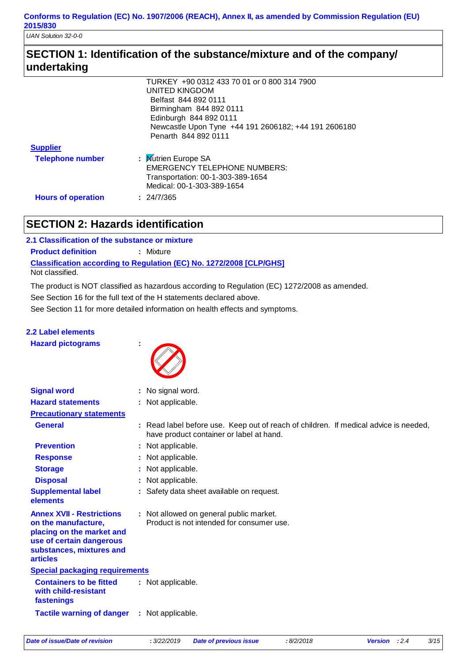*UAN Solution 32-0-0*

### **SECTION 1: Identification of the substance/mixture and of the company/ undertaking**

|                           | TURKEY +90 0312 433 70 01 or 0 800 314 7900          |
|---------------------------|------------------------------------------------------|
|                           | UNITED KINGDOM                                       |
|                           | Belfast 844 892 0111                                 |
|                           | Birmingham 844 892 0111                              |
|                           | Edinburgh 844 892 0111                               |
|                           | Newcastle Upon Tyne +44 191 2606182; +44 191 2606180 |
|                           | Penarth 844 892 0111                                 |
| <b>Supplier</b>           |                                                      |
| <b>Telephone number</b>   | : Mutrien Europe SA                                  |
|                           | <b>EMERGENCY TELEPHONE NUMBERS:</b>                  |
|                           | Transportation: 00-1-303-389-1654                    |
|                           | Medical: 00-1-303-389-1654                           |
| <b>Hours of operation</b> | : 24/7/365                                           |

### **SECTION 2: Hazards identification**

**Classification according to Regulation (EC) No. 1272/2008 [CLP/GHS] 2.1 Classification of the substance or mixture Product definition : Mixture** Not classified.

The product is NOT classified as hazardous according to Regulation (EC) 1272/2008 as amended.

See Section 16 for the full text of the H statements declared above.

See Section 11 for more detailed information on health effects and symptoms.

### **2.2 Label elements**

**Hazard pictograms :**



| <b>Signal word</b>                                                                                                                                              | : No signal word.                                                                                                                |
|-----------------------------------------------------------------------------------------------------------------------------------------------------------------|----------------------------------------------------------------------------------------------------------------------------------|
| <b>Hazard statements</b>                                                                                                                                        | : Not applicable.                                                                                                                |
| <b>Precautionary statements</b>                                                                                                                                 |                                                                                                                                  |
| <b>General</b>                                                                                                                                                  | : Read label before use. Keep out of reach of children. If medical advice is needed,<br>have product container or label at hand. |
| <b>Prevention</b>                                                                                                                                               | : Not applicable.                                                                                                                |
| <b>Response</b>                                                                                                                                                 | : Not applicable.                                                                                                                |
| <b>Storage</b>                                                                                                                                                  | : Not applicable.                                                                                                                |
| <b>Disposal</b>                                                                                                                                                 | : Not applicable.                                                                                                                |
| <b>Supplemental label</b><br>elements                                                                                                                           | : Safety data sheet available on request.                                                                                        |
| <b>Annex XVII - Restrictions</b><br>on the manufacture,<br>placing on the market and<br>use of certain dangerous<br>substances, mixtures and<br><b>articles</b> | : Not allowed on general public market.<br>Product is not intended for consumer use.                                             |
| <b>Special packaging requirements</b>                                                                                                                           |                                                                                                                                  |
| <b>Containers to be fitted</b><br>with child-resistant<br>fastenings                                                                                            | : Not applicable.                                                                                                                |
| <b>Tactile warning of danger</b>                                                                                                                                | : Not applicable.                                                                                                                |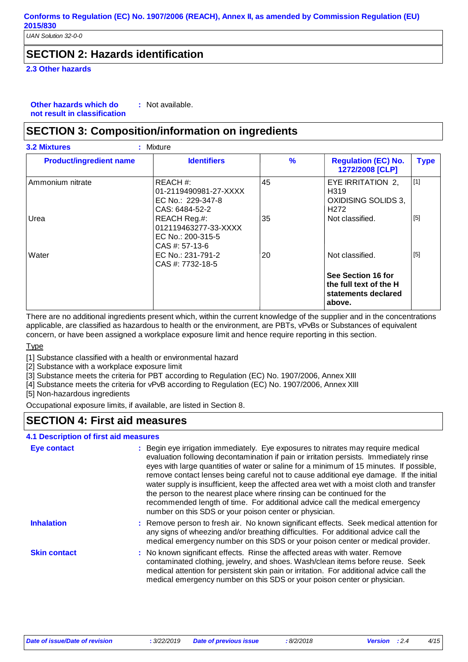*UAN Solution 32-0-0*

### **SECTION 2: Hazards identification**

**2.3 Other hazards**

**Other hazards which do : not result in classification** : Not available.

### **SECTION 3: Composition/information on ingredients**

| <b>Product/ingredient name</b> | <b>Identifiers</b>                                                                       | $\frac{9}{6}$ | <b>Regulation (EC) No.</b><br>1272/2008 [CLP]                                                         | <b>Type</b>    |
|--------------------------------|------------------------------------------------------------------------------------------|---------------|-------------------------------------------------------------------------------------------------------|----------------|
| Ammonium nitrate<br>Urea       | REACH #:<br>01-2119490981-27-XXXX<br>EC No.: 229-347-8<br>CAS: 6484-52-2<br>REACH Reg.#: | 45<br>35      | EYE IRRITATION 2,<br>H <sub>3</sub> 19<br>OXIDISING SOLIDS 3,<br>H <sub>2</sub> 72<br>Not classified. | $[1]$<br>$[5]$ |
|                                | 012119463277-33-XXXX<br>EC No.: 200-315-5<br>$CAS #: 57-13-6$                            |               |                                                                                                       |                |
| Water                          | EC No.: 231-791-2<br>CAS #: 7732-18-5                                                    | 20            | Not classified.                                                                                       | $[5]$          |
|                                |                                                                                          |               | See Section 16 for<br>the full text of the H<br>statements declared<br>above.                         |                |

There are no additional ingredients present which, within the current knowledge of the supplier and in the concentrations applicable, are classified as hazardous to health or the environment, are PBTs, vPvBs or Substances of equivalent concern, or have been assigned a workplace exposure limit and hence require reporting in this section.

#### Type

[1] Substance classified with a health or environmental hazard

[2] Substance with a workplace exposure limit

[3] Substance meets the criteria for PBT according to Regulation (EC) No. 1907/2006, Annex XIII

[4] Substance meets the criteria for vPvB according to Regulation (EC) No. 1907/2006, Annex XIII

[5] Non-hazardous ingredients

Occupational exposure limits, if available, are listed in Section 8.

### **SECTION 4: First aid measures**

### **4.1 Description of first aid measures**

| <b>Eye contact</b>  | : Begin eye irrigation immediately. Eye exposures to nitrates may require medical<br>evaluation following decontamination if pain or irritation persists. Immediately rinse<br>eyes with large quantities of water or saline for a minimum of 15 minutes. If possible,<br>remove contact lenses being careful not to cause additional eye damage. If the initial<br>water supply is insufficient, keep the affected area wet with a moist cloth and transfer<br>the person to the nearest place where rinsing can be continued for the<br>recommended length of time. For additional advice call the medical emergency<br>number on this SDS or your poison center or physician. |
|---------------------|----------------------------------------------------------------------------------------------------------------------------------------------------------------------------------------------------------------------------------------------------------------------------------------------------------------------------------------------------------------------------------------------------------------------------------------------------------------------------------------------------------------------------------------------------------------------------------------------------------------------------------------------------------------------------------|
| <b>Inhalation</b>   | : Remove person to fresh air. No known significant effects. Seek medical attention for<br>any signs of wheezing and/or breathing difficulties. For additional advice call the<br>medical emergency number on this SDS or your poison center or medical provider.                                                                                                                                                                                                                                                                                                                                                                                                                 |
| <b>Skin contact</b> | : No known significant effects. Rinse the affected areas with water. Remove<br>contaminated clothing, jewelry, and shoes. Wash/clean items before reuse. Seek<br>medical attention for persistent skin pain or irritation. For additional advice call the<br>medical emergency number on this SDS or your poison center or physician.                                                                                                                                                                                                                                                                                                                                            |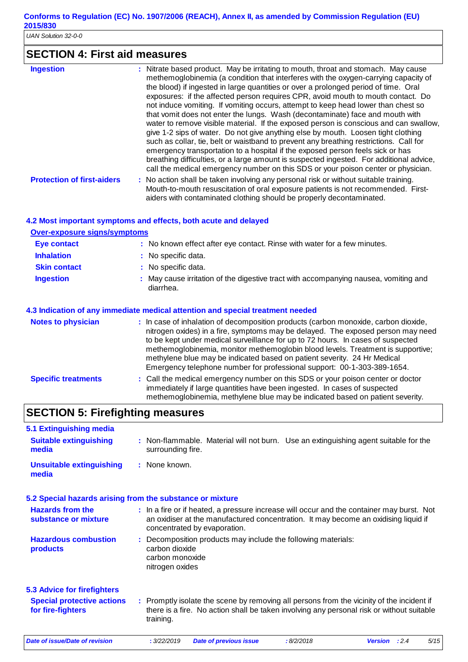*UAN Solution 32-0-0*

# **SECTION 4: First aid measures**

| <b>Ingestion</b>                  | : Nitrate based product. May be irritating to mouth, throat and stomach. May cause<br>methemoglobinemia (a condition that interferes with the oxygen-carrying capacity of<br>the blood) if ingested in large quantities or over a prolonged period of time. Oral<br>exposures: if the affected person requires CPR, avoid mouth to mouth contact. Do<br>not induce vomiting. If vomiting occurs, attempt to keep head lower than chest so<br>that vomit does not enter the lungs. Wash (decontaminate) face and mouth with<br>water to remove visible material. If the exposed person is conscious and can swallow,<br>give 1-2 sips of water. Do not give anything else by mouth. Loosen tight clothing<br>such as collar, tie, belt or waistband to prevent any breathing restrictions. Call for<br>emergency transportation to a hospital if the exposed person feels sick or has<br>breathing difficulties, or a large amount is suspected ingested. For additional advice,<br>call the medical emergency number on this SDS or your poison center or physician. |
|-----------------------------------|----------------------------------------------------------------------------------------------------------------------------------------------------------------------------------------------------------------------------------------------------------------------------------------------------------------------------------------------------------------------------------------------------------------------------------------------------------------------------------------------------------------------------------------------------------------------------------------------------------------------------------------------------------------------------------------------------------------------------------------------------------------------------------------------------------------------------------------------------------------------------------------------------------------------------------------------------------------------------------------------------------------------------------------------------------------------|
| <b>Protection of first-aiders</b> | : No action shall be taken involving any personal risk or without suitable training.<br>Mouth-to-mouth resuscitation of oral exposure patients is not recommended. First-<br>aiders with contaminated clothing should be properly decontaminated.                                                                                                                                                                                                                                                                                                                                                                                                                                                                                                                                                                                                                                                                                                                                                                                                                    |

### **4.2 Most important symptoms and effects, both acute and delayed**

|                                     | 4.2 Most important symptoms and effects, both acute and delayed                                                                                                                                                                                                                                                                                                                                                                                                                                      |
|-------------------------------------|------------------------------------------------------------------------------------------------------------------------------------------------------------------------------------------------------------------------------------------------------------------------------------------------------------------------------------------------------------------------------------------------------------------------------------------------------------------------------------------------------|
| <b>Over-exposure signs/symptoms</b> |                                                                                                                                                                                                                                                                                                                                                                                                                                                                                                      |
| <b>Eye contact</b>                  | : No known effect after eye contact. Rinse with water for a few minutes.                                                                                                                                                                                                                                                                                                                                                                                                                             |
| <b>Inhalation</b>                   | : No specific data.                                                                                                                                                                                                                                                                                                                                                                                                                                                                                  |
| <b>Skin contact</b>                 | : No specific data.                                                                                                                                                                                                                                                                                                                                                                                                                                                                                  |
| <b>Ingestion</b>                    | : May cause irritation of the digestive tract with accompanying nausea, vomiting and<br>diarrhea.                                                                                                                                                                                                                                                                                                                                                                                                    |
|                                     | 4.3 Indication of any immediate medical attention and special treatment needed                                                                                                                                                                                                                                                                                                                                                                                                                       |
| <b>Notes to physician</b>           | : In case of inhalation of decomposition products (carbon monoxide, carbon dioxide,<br>nitrogen oxides) in a fire, symptoms may be delayed. The exposed person may need<br>to be kept under medical surveillance for up to 72 hours. In cases of suspected<br>methemoglobinemia, monitor methemoglobin blood levels. Treatment is supportive;<br>methylene blue may be indicated based on patient severity. 24 Hr Medical<br>Emergency telephone number for professional support: 00-1-303-389-1654. |
| <b>Specific treatments</b>          | : Call the medical emergency number on this SDS or your poison center or doctor<br>immediately if large quantities have been ingested. In cases of suspected<br>methemoglobinemia, methylene blue may be indicated based on patient severity.                                                                                                                                                                                                                                                        |

# **SECTION 5: Firefighting measures**

| 5.1 Extinguishing media                                   |                                                                                                                                                                                                                  |
|-----------------------------------------------------------|------------------------------------------------------------------------------------------------------------------------------------------------------------------------------------------------------------------|
| <b>Suitable extinguishing</b><br>media                    | : Non-flammable. Material will not burn. Use an extinguishing agent suitable for the<br>surrounding fire.                                                                                                        |
| <b>Unsuitable extinguishing</b><br>media                  | : None known.                                                                                                                                                                                                    |
| 5.2 Special hazards arising from the substance or mixture |                                                                                                                                                                                                                  |
| <b>Hazards from the</b><br>substance or mixture           | : In a fire or if heated, a pressure increase will occur and the container may burst. Not<br>an oxidiser at the manufactured concentration. It may become an oxidising liquid if<br>concentrated by evaporation. |
| <b>Hazardous combustion</b><br>products                   | Decomposition products may include the following materials:<br>carbon dioxide<br>carbon monoxide<br>nitrogen oxides                                                                                              |
| <b>5.3 Advice for firefighters</b>                        |                                                                                                                                                                                                                  |
| <b>Special protective actions</b><br>for fire-fighters    | : Promptly isolate the scene by removing all persons from the vicinity of the incident if<br>there is a fire. No action shall be taken involving any personal risk or without suitable<br>training.              |
| Date of issue/Date of revision                            | : 3/22/2019<br>:8/2/2018<br>5/15<br><b>Date of previous issue</b><br>Version : 2.4                                                                                                                               |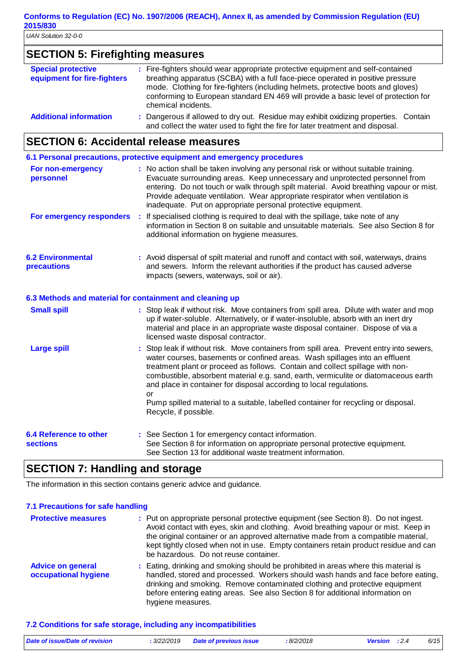### **SECTION 5: Firefighting measures**

| <b>Special protective</b><br>equipment for fire-fighters | : Fire-fighters should wear appropriate protective equipment and self-contained<br>breathing apparatus (SCBA) with a full face-piece operated in positive pressure<br>mode. Clothing for fire-fighters (including helmets, protective boots and gloves)<br>conforming to European standard EN 469 will provide a basic level of protection for<br>chemical incidents. |
|----------------------------------------------------------|-----------------------------------------------------------------------------------------------------------------------------------------------------------------------------------------------------------------------------------------------------------------------------------------------------------------------------------------------------------------------|
| <b>Additional information</b>                            | : Dangerous if allowed to dry out. Residue may exhibit oxidizing properties. Contain<br>and collect the water used to fight the fire for later treatment and disposal.                                                                                                                                                                                                |

# **SECTION 6: Accidental release measures**

|                                                          |   | 6.1 Personal precautions, protective equipment and emergency procedures                                                                                                                                                                                                                                                                                                                                                                                                                                                                     |
|----------------------------------------------------------|---|---------------------------------------------------------------------------------------------------------------------------------------------------------------------------------------------------------------------------------------------------------------------------------------------------------------------------------------------------------------------------------------------------------------------------------------------------------------------------------------------------------------------------------------------|
| For non-emergency<br>personnel                           |   | : No action shall be taken involving any personal risk or without suitable training.<br>Evacuate surrounding areas. Keep unnecessary and unprotected personnel from<br>entering. Do not touch or walk through spilt material. Avoid breathing vapour or mist.<br>Provide adequate ventilation. Wear appropriate respirator when ventilation is<br>inadequate. Put on appropriate personal protective equipment.                                                                                                                             |
| For emergency responders                                 | ÷ | If specialised clothing is required to deal with the spillage, take note of any<br>information in Section 8 on suitable and unsuitable materials. See also Section 8 for<br>additional information on hygiene measures.                                                                                                                                                                                                                                                                                                                     |
| <b>6.2 Environmental</b><br>precautions                  |   | : Avoid dispersal of spilt material and runoff and contact with soil, waterways, drains<br>and sewers. Inform the relevant authorities if the product has caused adverse<br>impacts (sewers, waterways, soil or air).                                                                                                                                                                                                                                                                                                                       |
| 6.3 Methods and material for containment and cleaning up |   |                                                                                                                                                                                                                                                                                                                                                                                                                                                                                                                                             |
| <b>Small spill</b>                                       |   | : Stop leak if without risk. Move containers from spill area. Dilute with water and mop<br>up if water-soluble. Alternatively, or if water-insoluble, absorb with an inert dry<br>material and place in an appropriate waste disposal container. Dispose of via a<br>licensed waste disposal contractor.                                                                                                                                                                                                                                    |
| <b>Large spill</b>                                       |   | : Stop leak if without risk. Move containers from spill area. Prevent entry into sewers,<br>water courses, basements or confined areas. Wash spillages into an effluent<br>treatment plant or proceed as follows. Contain and collect spillage with non-<br>combustible, absorbent material e.g. sand, earth, vermiculite or diatomaceous earth<br>and place in container for disposal according to local regulations.<br>or<br>Pump spilled material to a suitable, labelled container for recycling or disposal.<br>Recycle, if possible. |
| <b>6.4 Reference to other</b>                            |   | : See Section 1 for emergency contact information.                                                                                                                                                                                                                                                                                                                                                                                                                                                                                          |
| <b>sections</b>                                          |   | See Section 8 for information on appropriate personal protective equipment.<br>See Section 13 for additional waste treatment information.                                                                                                                                                                                                                                                                                                                                                                                                   |

### **SECTION 7: Handling and storage**

The information in this section contains generic advice and guidance.

### **7.1 Precautions for safe handling**

| <b>Protective measures</b>                       | : Put on appropriate personal protective equipment (see Section 8). Do not ingest.<br>Avoid contact with eyes, skin and clothing. Avoid breathing vapour or mist. Keep in<br>the original container or an approved alternative made from a compatible material,<br>kept tightly closed when not in use. Empty containers retain product residue and can<br>be hazardous. Do not reuse container. |
|--------------------------------------------------|--------------------------------------------------------------------------------------------------------------------------------------------------------------------------------------------------------------------------------------------------------------------------------------------------------------------------------------------------------------------------------------------------|
| <b>Advice on general</b><br>occupational hygiene | : Eating, drinking and smoking should be prohibited in areas where this material is<br>handled, stored and processed. Workers should wash hands and face before eating,<br>drinking and smoking. Remove contaminated clothing and protective equipment<br>before entering eating areas. See also Section 8 for additional information on<br>hygiene measures.                                    |

### **7.2 Conditions for safe storage, including any incompatibilities**

| Date of issue/Date of revision | : 3/22/2019 | <b>Date of previous issue</b> | :8/2/2018 | <b>Version</b> : 2.4 | 6/15 |
|--------------------------------|-------------|-------------------------------|-----------|----------------------|------|
|                                |             |                               |           |                      |      |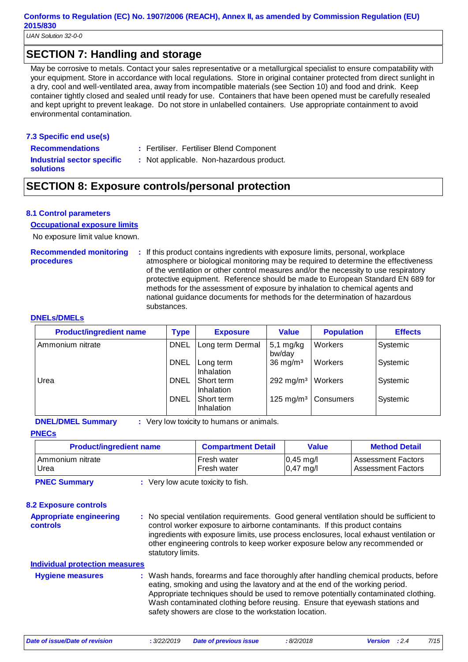*UAN Solution 32-0-0*

### **SECTION 7: Handling and storage**

May be corrosive to metals. Contact your sales representative or a metallurgical specialist to ensure compatability with your equipment. Store in accordance with local regulations. Store in original container protected from direct sunlight in a dry, cool and well-ventilated area, away from incompatible materials (see Section 10) and food and drink. Keep container tightly closed and sealed until ready for use. Containers that have been opened must be carefully resealed and kept upright to prevent leakage. Do not store in unlabelled containers. Use appropriate containment to avoid environmental contamination.

#### **7.3 Specific end use(s)**

- **Recommendations :**
- Fertiliser. Fertiliser Blend Component

**Industrial sector specific : solutions**

: Not applicable. Non-hazardous product.

### **SECTION 8: Exposure controls/personal protection**

#### **8.1 Control parameters**

#### **Occupational exposure limits**

No exposure limit value known.

# **Recommended monitoring**

**procedures**

**:** If this product contains ingredients with exposure limits, personal, workplace atmosphere or biological monitoring may be required to determine the effectiveness of the ventilation or other control measures and/or the necessity to use respiratory protective equipment. Reference should be made to European Standard EN 689 for methods for the assessment of exposure by inhalation to chemical agents and national guidance documents for methods for the determination of hazardous substances.

#### **DNELs/DMELs**

| <b>Product/ingredient name</b> | <b>Type</b> | <b>Exposure</b>          | <b>Value</b>          | <b>Population</b>               | <b>Effects</b> |
|--------------------------------|-------------|--------------------------|-----------------------|---------------------------------|----------------|
| Ammonium nitrate               | <b>DNEL</b> | Long term Dermal         | $5,1$ mg/kg<br>bw/day | Workers                         | Systemic       |
|                                | <b>DNEL</b> | Long term<br>Inhalation  | $36 \text{ mg/m}^3$   | Workers                         | Systemic       |
| Urea                           | <b>DNEL</b> | Short term<br>Inhalation | 292 mg/m <sup>3</sup> | Workers                         | Systemic       |
|                                | <b>DNEL</b> | Short term<br>Inhalation |                       | 125 mg/m <sup>3</sup> Consumers | Systemic       |

**DNEL/DMEL Summary :** Very low toxicity to humans or animals.

#### **PNECs**

| <b>Product/ingredient name</b> | <b>Compartment Detail</b> | Value               | <b>Method Detail</b>      |
|--------------------------------|---------------------------|---------------------|---------------------------|
| I Ammonium nitrate             | Fresh water               | $0,45 \text{ mg/l}$ | <b>Assessment Factors</b> |
| Urea                           | Fresh water               | $0,47 \text{ mg/l}$ | <b>Assessment Factors</b> |

**PNEC Summary :** Very low acute toxicity to fish.

**Appropriate engineering controls 8.2 Exposure controls Hygiene measures : Individual protection measures**

Wash hands, forearms and face thoroughly after handling chemical products, before eating, smoking and using the lavatory and at the end of the working period. Appropriate techniques should be used to remove potentially contaminated clothing. Wash contaminated clothing before reusing. Ensure that eyewash stations and safety showers are close to the workstation location.

**:** No special ventilation requirements. Good general ventilation should be sufficient to

ingredients with exposure limits, use process enclosures, local exhaust ventilation or other engineering controls to keep worker exposure below any recommended or

control worker exposure to airborne contaminants. If this product contains

statutory limits.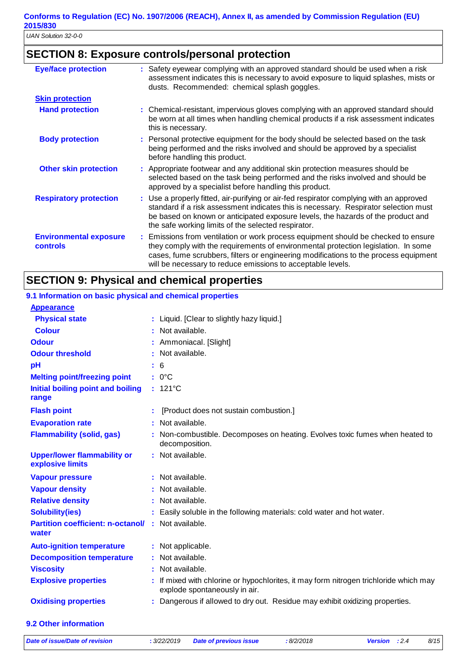### **SECTION 8: Exposure controls/personal protection**

| <b>Eye/face protection</b>                | : Safety eyewear complying with an approved standard should be used when a risk<br>assessment indicates this is necessary to avoid exposure to liquid splashes, mists or<br>dusts. Recommended: chemical splash goggles.                                                                                                        |
|-------------------------------------------|---------------------------------------------------------------------------------------------------------------------------------------------------------------------------------------------------------------------------------------------------------------------------------------------------------------------------------|
| <b>Skin protection</b>                    |                                                                                                                                                                                                                                                                                                                                 |
| <b>Hand protection</b>                    | : Chemical-resistant, impervious gloves complying with an approved standard should<br>be worn at all times when handling chemical products if a risk assessment indicates<br>this is necessary.                                                                                                                                 |
| <b>Body protection</b>                    | : Personal protective equipment for the body should be selected based on the task<br>being performed and the risks involved and should be approved by a specialist<br>before handling this product.                                                                                                                             |
| <b>Other skin protection</b>              | : Appropriate footwear and any additional skin protection measures should be<br>selected based on the task being performed and the risks involved and should be<br>approved by a specialist before handling this product.                                                                                                       |
| <b>Respiratory protection</b>             | : Use a properly fitted, air-purifying or air-fed respirator complying with an approved<br>standard if a risk assessment indicates this is necessary. Respirator selection must<br>be based on known or anticipated exposure levels, the hazards of the product and<br>the safe working limits of the selected respirator.      |
| <b>Environmental exposure</b><br>controls | : Emissions from ventilation or work process equipment should be checked to ensure<br>they comply with the requirements of environmental protection legislation. In some<br>cases, fume scrubbers, filters or engineering modifications to the process equipment<br>will be necessary to reduce emissions to acceptable levels. |

### **SECTION 9: Physical and chemical properties**

#### 121°C **: Physical state Melting point/freezing point Initial boiling point and boiling range Vapour pressure Relative density Vapour density Solubility(ies)** Liquid. [Clear to slightly hazy liquid.] **:** 0°C **:** Not available. **:** Not available. **:** : Not available. Easily soluble in the following materials: cold water and hot water. **: Odour Constanting Constanting Constanting Constanting Constanting Constanting Constanting Constanting Constanting Constanting Constanting Constanting Constanting Constanting Constanting Constanting Constanting Constanti pH Colour** : Not available. **Evaporation rate Auto-ignition temperature Flash point** : Not applicable. [Product does not sustain combustion.] Not available. **: :** If mixed with chlorine or hypochlorites, it may form nitrogen trichloride which may explode spontaneously in air. **Partition coefficient: n-octanol/ :** Not available. 6 **: Viscosity Constitution Constitution Constitution Constitution Constitution Constitution Constitution Constitution Constitution Constitution Constitution Constitution Constitution Constitution Constitution Constitution C Odour threshold water Upper/lower flammability or explosive limits Explosive properties :** Not available. : Not available. **: Oxidising properties :** Dangerous if allowed to dry out. Residue may exhibit oxidizing properties. **9.1 Information on basic physical and chemical properties Appearance Decomposition temperature :** Not available. **Flammability (solid, gas) :** Non-combustible. Decomposes on heating. Evolves toxic fumes when heated to decomposition.

### **9.2 Other information**

*Date of issue/Date of revision* **:** *3/22/2019 Date of previous issue : 8/2/2018 Version : 2.4 8/15*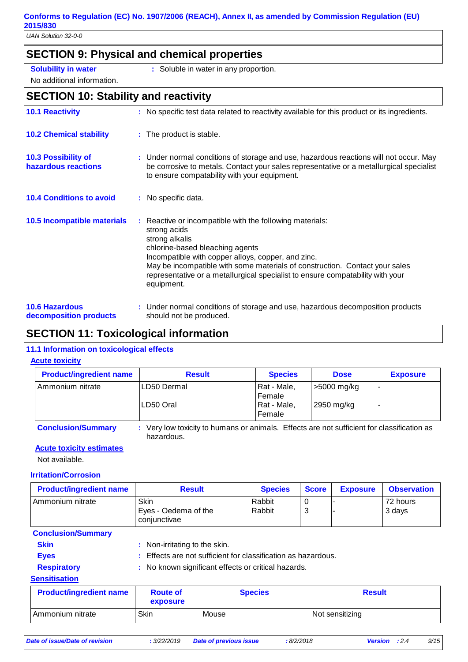*UAN Solution 32-0-0*

### **SECTION 9: Physical and chemical properties**

- **Solubility in water :** Soluble in water in any proportion.
- No additional information.
- 

### **SECTION 10: Stability and reactivity**

| <b>10.1 Reactivity</b>                            | : No specific test data related to reactivity available for this product or its ingredients.                                                                                                                                                                                                                                                                       |
|---------------------------------------------------|--------------------------------------------------------------------------------------------------------------------------------------------------------------------------------------------------------------------------------------------------------------------------------------------------------------------------------------------------------------------|
| <b>10.2 Chemical stability</b>                    | : The product is stable.                                                                                                                                                                                                                                                                                                                                           |
| <b>10.3 Possibility of</b><br>hazardous reactions | : Under normal conditions of storage and use, hazardous reactions will not occur. May<br>be corrosive to metals. Contact your sales representative or a metallurgical specialist<br>to ensure compatability with your equipment.                                                                                                                                   |
| <b>10.4 Conditions to avoid</b>                   | : No specific data.                                                                                                                                                                                                                                                                                                                                                |
| 10.5 Incompatible materials                       | : Reactive or incompatible with the following materials:<br>strong acids<br>strong alkalis<br>chlorine-based bleaching agents<br>Incompatible with copper alloys, copper, and zinc.<br>May be incompatible with some materials of construction. Contact your sales<br>representative or a metallurgical specialist to ensure compatability with your<br>equipment. |
| <b>10.6 Hazardous</b><br>decomposition products   | : Under normal conditions of storage and use, hazardous decomposition products<br>should not be produced.                                                                                                                                                                                                                                                          |

### **SECTION 11: Toxicological information**

### **11.1 Information on toxicological effects**

#### **Acute toxicity**

| <b>Product/ingredient name</b> | <b>Result</b>                                                                                            | <b>Species</b>        | <b>Dose</b> | <b>Exposure</b> |
|--------------------------------|----------------------------------------------------------------------------------------------------------|-----------------------|-------------|-----------------|
| Ammonium nitrate               | LD50 Dermal                                                                                              | Rat - Male,<br>Female | >5000 mg/kg |                 |
|                                | LD50 Oral                                                                                                | Rat - Male,<br>Female | 2950 mg/kg  |                 |
| <b>Conclusion/Summary</b>      | : Very low toxicity to humans or animals. Effects are not sufficient for classification as<br>hazardous. |                       |             |                 |

### **Acute toxicity estimates**

Not available.

#### **Irritation/Corrosion**

| <b>Product/ingredient name</b> | <b>Result</b>                                                 |       | <b>Species</b><br><b>Score</b> |        | <b>Exposure</b> | <b>Observation</b> |  |
|--------------------------------|---------------------------------------------------------------|-------|--------------------------------|--------|-----------------|--------------------|--|
| Ammonium nitrate               | <b>Skin</b><br>Eyes - Oedema of the<br>conjunctivae           |       | Rabbit<br>Rabbit               | 0<br>3 |                 | 72 hours<br>3 days |  |
| <b>Conclusion/Summary</b>      |                                                               |       |                                |        |                 |                    |  |
| <b>Skin</b>                    | : Non-irritating to the skin.                                 |       |                                |        |                 |                    |  |
| <b>Eyes</b>                    | : Effects are not sufficient for classification as hazardous. |       |                                |        |                 |                    |  |
| <b>Respiratory</b>             | : No known significant effects or critical hazards.           |       |                                |        |                 |                    |  |
| <b>Sensitisation</b>           |                                                               |       |                                |        |                 |                    |  |
| <b>Product/ingredient name</b> | <b>Route of</b><br>exposure                                   |       | <b>Species</b>                 |        | <b>Result</b>   |                    |  |
| Ammonium nitrate               | <b>Skin</b>                                                   | Mouse |                                |        | Not sensitizing |                    |  |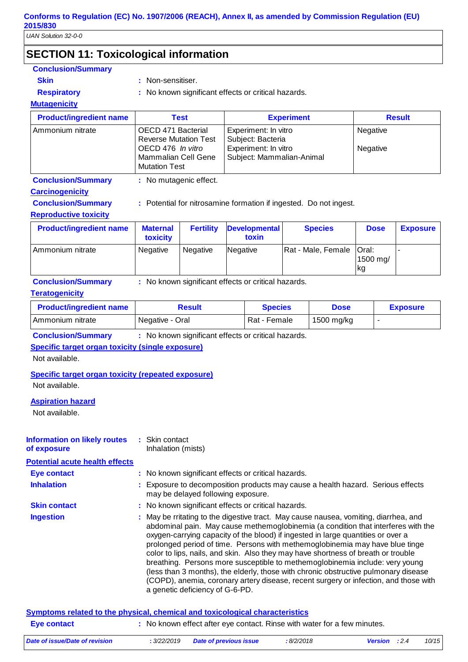*UAN Solution 32-0-0*

# **SECTION 11: Toxicological information**

| <b>Conclusion/Summary</b><br><b>Skin</b>                  |                                                                                                                                                                                                                                                                                                                                                                                                                                                                                                                                                                                                         |                                                                                                                     |          |                               |                   |                    |                |                 |                 |
|-----------------------------------------------------------|---------------------------------------------------------------------------------------------------------------------------------------------------------------------------------------------------------------------------------------------------------------------------------------------------------------------------------------------------------------------------------------------------------------------------------------------------------------------------------------------------------------------------------------------------------------------------------------------------------|---------------------------------------------------------------------------------------------------------------------|----------|-------------------------------|-------------------|--------------------|----------------|-----------------|-----------------|
|                                                           | : Non-sensitiser.<br>: No known significant effects or critical hazards.                                                                                                                                                                                                                                                                                                                                                                                                                                                                                                                                |                                                                                                                     |          |                               |                   |                    |                |                 |                 |
| <b>Respiratory</b><br><b>Mutagenicity</b>                 |                                                                                                                                                                                                                                                                                                                                                                                                                                                                                                                                                                                                         |                                                                                                                     |          |                               |                   |                    |                |                 |                 |
| <b>Product/ingredient name</b>                            |                                                                                                                                                                                                                                                                                                                                                                                                                                                                                                                                                                                                         | <b>Test</b>                                                                                                         |          |                               | <b>Experiment</b> |                    | <b>Result</b>  |                 |                 |
| Ammonium nitrate                                          |                                                                                                                                                                                                                                                                                                                                                                                                                                                                                                                                                                                                         |                                                                                                                     |          | Experiment: In vitro          |                   |                    | Negative       |                 |                 |
|                                                           |                                                                                                                                                                                                                                                                                                                                                                                                                                                                                                                                                                                                         | OECD 471 Bacterial<br><b>Reverse Mutation Test</b>                                                                  |          | Subject: Bacteria             |                   |                    |                |                 |                 |
|                                                           |                                                                                                                                                                                                                                                                                                                                                                                                                                                                                                                                                                                                         | OECD 476 In vitro<br>Experiment: In vitro                                                                           |          |                               |                   |                    | Negative       |                 |                 |
|                                                           | <b>Mutation Test</b>                                                                                                                                                                                                                                                                                                                                                                                                                                                                                                                                                                                    | Mammalian Cell Gene                                                                                                 |          | Subject: Mammalian-Animal     |                   |                    |                |                 |                 |
| <b>Conclusion/Summary</b>                                 |                                                                                                                                                                                                                                                                                                                                                                                                                                                                                                                                                                                                         | : No mutagenic effect.                                                                                              |          |                               |                   |                    |                |                 |                 |
| <b>Carcinogenicity</b>                                    |                                                                                                                                                                                                                                                                                                                                                                                                                                                                                                                                                                                                         |                                                                                                                     |          |                               |                   |                    |                |                 |                 |
| <b>Conclusion/Summary</b>                                 |                                                                                                                                                                                                                                                                                                                                                                                                                                                                                                                                                                                                         | : Potential for nitrosamine formation if ingested. Do not ingest.                                                   |          |                               |                   |                    |                |                 |                 |
| <b>Reproductive toxicity</b>                              |                                                                                                                                                                                                                                                                                                                                                                                                                                                                                                                                                                                                         |                                                                                                                     |          |                               |                   |                    |                |                 |                 |
| <b>Product/ingredient name</b>                            | <b>Maternal</b><br>toxicity                                                                                                                                                                                                                                                                                                                                                                                                                                                                                                                                                                             | <b>Fertility</b>                                                                                                    |          | <b>Developmental</b><br>toxin |                   | <b>Species</b>     |                | <b>Dose</b>     | <b>Exposure</b> |
| Ammonium nitrate                                          | Negative                                                                                                                                                                                                                                                                                                                                                                                                                                                                                                                                                                                                | Negative                                                                                                            | Negative |                               |                   | Rat - Male, Female | Oral:          |                 |                 |
|                                                           |                                                                                                                                                                                                                                                                                                                                                                                                                                                                                                                                                                                                         |                                                                                                                     |          |                               |                   |                    | 1500 mg/<br>kg |                 |                 |
| <b>Conclusion/Summary</b>                                 |                                                                                                                                                                                                                                                                                                                                                                                                                                                                                                                                                                                                         | : No known significant effects or critical hazards.                                                                 |          |                               |                   |                    |                |                 |                 |
| <b>Teratogenicity</b>                                     |                                                                                                                                                                                                                                                                                                                                                                                                                                                                                                                                                                                                         |                                                                                                                     |          |                               |                   |                    |                |                 |                 |
| <b>Product/ingredient name</b>                            |                                                                                                                                                                                                                                                                                                                                                                                                                                                                                                                                                                                                         | <b>Result</b>                                                                                                       |          | <b>Species</b>                |                   | <b>Dose</b>        |                | <b>Exposure</b> |                 |
| Ammonium nitrate                                          | Negative - Oral                                                                                                                                                                                                                                                                                                                                                                                                                                                                                                                                                                                         |                                                                                                                     |          | Rat - Female                  |                   | 1500 mg/kg         |                | $\blacksquare$  |                 |
| <b>Conclusion/Summary</b>                                 |                                                                                                                                                                                                                                                                                                                                                                                                                                                                                                                                                                                                         | : No known significant effects or critical hazards.                                                                 |          |                               |                   |                    |                |                 |                 |
| <b>Specific target organ toxicity (single exposure)</b>   |                                                                                                                                                                                                                                                                                                                                                                                                                                                                                                                                                                                                         |                                                                                                                     |          |                               |                   |                    |                |                 |                 |
| Not available.                                            |                                                                                                                                                                                                                                                                                                                                                                                                                                                                                                                                                                                                         |                                                                                                                     |          |                               |                   |                    |                |                 |                 |
| <b>Specific target organ toxicity (repeated exposure)</b> |                                                                                                                                                                                                                                                                                                                                                                                                                                                                                                                                                                                                         |                                                                                                                     |          |                               |                   |                    |                |                 |                 |
| Not available.                                            |                                                                                                                                                                                                                                                                                                                                                                                                                                                                                                                                                                                                         |                                                                                                                     |          |                               |                   |                    |                |                 |                 |
| <b>Aspiration hazard</b>                                  |                                                                                                                                                                                                                                                                                                                                                                                                                                                                                                                                                                                                         |                                                                                                                     |          |                               |                   |                    |                |                 |                 |
| Not available.                                            |                                                                                                                                                                                                                                                                                                                                                                                                                                                                                                                                                                                                         |                                                                                                                     |          |                               |                   |                    |                |                 |                 |
| <b>Information on likely routes</b>                       | : Skin contact                                                                                                                                                                                                                                                                                                                                                                                                                                                                                                                                                                                          |                                                                                                                     |          |                               |                   |                    |                |                 |                 |
| of exposure                                               |                                                                                                                                                                                                                                                                                                                                                                                                                                                                                                                                                                                                         | Inhalation (mists)                                                                                                  |          |                               |                   |                    |                |                 |                 |
| <b>Potential acute health effects</b>                     |                                                                                                                                                                                                                                                                                                                                                                                                                                                                                                                                                                                                         |                                                                                                                     |          |                               |                   |                    |                |                 |                 |
| <b>Eye contact</b>                                        |                                                                                                                                                                                                                                                                                                                                                                                                                                                                                                                                                                                                         | : No known significant effects or critical hazards.                                                                 |          |                               |                   |                    |                |                 |                 |
| <b>Inhalation</b>                                         |                                                                                                                                                                                                                                                                                                                                                                                                                                                                                                                                                                                                         | Exposure to decomposition products may cause a health hazard. Serious effects<br>may be delayed following exposure. |          |                               |                   |                    |                |                 |                 |
| <b>Skin contact</b>                                       |                                                                                                                                                                                                                                                                                                                                                                                                                                                                                                                                                                                                         | : No known significant effects or critical hazards.                                                                 |          |                               |                   |                    |                |                 |                 |
| <b>Ingestion</b>                                          | May be rritating to the digestive tract. May cause nausea, vomiting, diarrhea, and<br>abdominal pain. May cause methemoglobinemia (a condition that interferes with the<br>oxygen-carrying capacity of the blood) if ingested in large quantities or over a<br>prolonged period of time. Persons with methemoglobinemia may have blue tinge<br>color to lips, nails, and skin. Also they may have shortness of breath or trouble<br>breathing. Persons more susceptible to methemoglobinemia include: very young<br>(less than 3 months), the elderly, those with chronic obstructive pulmonary disease |                                                                                                                     |          |                               |                   |                    |                |                 |                 |

|             | Symptoms related to the physical, chemical and toxicological characteristics |
|-------------|------------------------------------------------------------------------------|
| Eye contact | : No known effect after eye contact. Rinse with water for a few minutes.     |

a genetic deficiency of G-6-PD.

| Date of issue/Date of revision | : 3/22/2019 Date of previous issue | :8/2/2018 | <b>Version</b> : 2.4 | 10/15 |
|--------------------------------|------------------------------------|-----------|----------------------|-------|

(COPD), anemia, coronary artery disease, recent surgery or infection, and those with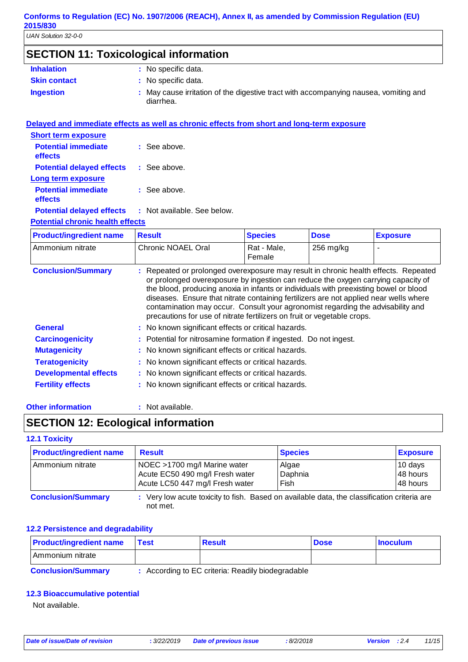# **SECTION 11: Toxicological information**

| <b>Inhalation</b>   | : No specific data.                                                                             |
|---------------------|-------------------------------------------------------------------------------------------------|
| <b>Skin contact</b> | : No specific data.                                                                             |
| <b>Ingestion</b>    | May cause irritation of the digestive tract with accompanying nausea, vomiting and<br>diarrhea. |

| Delayed and immediate effects as well as chronic effects from short and long-term exposure |
|--------------------------------------------------------------------------------------------|
|                                                                                            |
| $\therefore$ See above.                                                                    |
| <b>Potential delayed effects : See above.</b>                                              |
|                                                                                            |
| $\therefore$ See above.                                                                    |
| <b>Potential delayed effects : Not available. See below.</b>                               |
| <b>Potential chronic health effects</b>                                                    |
|                                                                                            |

| <b>Product/ingredient name</b> | <b>Result</b>        | <b>Species</b>        | <b>Dose</b> | <b>Exposure</b> |
|--------------------------------|----------------------|-----------------------|-------------|-----------------|
| I Ammonium nitrate             | l Chronic NOAEL Oral | Rat - Male.<br>Female | $256$ mg/kg |                 |

| <b>Conclusion/Summary</b>    | : Repeated or prolonged overexposure may result in chronic health effects. Repeated<br>or prolonged overexposure by ingestion can reduce the oxygen carrying capacity of<br>the blood, producing anoxia in infants or individuals with preexisting bowel or blood<br>diseases. Ensure that nitrate containing fertilizers are not applied near wells where<br>contamination may occur. Consult your agronomist regarding the advisability and<br>precautions for use of nitrate fertilizers on fruit or vegetable crops. |
|------------------------------|--------------------------------------------------------------------------------------------------------------------------------------------------------------------------------------------------------------------------------------------------------------------------------------------------------------------------------------------------------------------------------------------------------------------------------------------------------------------------------------------------------------------------|
| <b>General</b>               | : No known significant effects or critical hazards.                                                                                                                                                                                                                                                                                                                                                                                                                                                                      |
| <b>Carcinogenicity</b>       | : Potential for nitrosamine formation if ingested. Do not ingest.                                                                                                                                                                                                                                                                                                                                                                                                                                                        |
| <b>Mutagenicity</b>          | : No known significant effects or critical hazards.                                                                                                                                                                                                                                                                                                                                                                                                                                                                      |
| <b>Teratogenicity</b>        | : No known significant effects or critical hazards.                                                                                                                                                                                                                                                                                                                                                                                                                                                                      |
| <b>Developmental effects</b> | : No known significant effects or critical hazards.                                                                                                                                                                                                                                                                                                                                                                                                                                                                      |
| <b>Fertility effects</b>     | : No known significant effects or critical hazards.                                                                                                                                                                                                                                                                                                                                                                                                                                                                      |

#### **Other information :** : Not available.

### **SECTION 12: Ecological information**

### **12.1 Toxicity**

| <b>Product/ingredient name</b> | <b>Result</b>                                                                                           | <b>Species</b>           | <b>Exposure</b>                 |
|--------------------------------|---------------------------------------------------------------------------------------------------------|--------------------------|---------------------------------|
| Ammonium nitrate               | NOEC >1700 mg/l Marine water<br>Acute EC50 490 mg/l Fresh water<br>Acute LC50 447 mg/l Fresh water      | Algae<br>Daphnia<br>Fish | 10 days<br>48 hours<br>48 hours |
| <b>Conclusion/Summary</b>      | : Very low acute toxicity to fish. Based on available data, the classification criteria are<br>not met. |                          |                                 |

#### **12.2 Persistence and degradability**

| <b>Product/ingredient name</b> | <b>⊺Test</b>         | Result | <b>Dose</b> | <b>Inoculum</b> |
|--------------------------------|----------------------|--------|-------------|-----------------|
| I Ammonium nitrate             |                      |        |             |                 |
|                                | $\sim$ $\sim$<br>___ | .<br>. |             |                 |

| <b>Conclusion/Summary</b> | : According to EC criteria: Readily biodegradable |  |
|---------------------------|---------------------------------------------------|--|
|---------------------------|---------------------------------------------------|--|

### **12.3 Bioaccumulative potential**

Not available.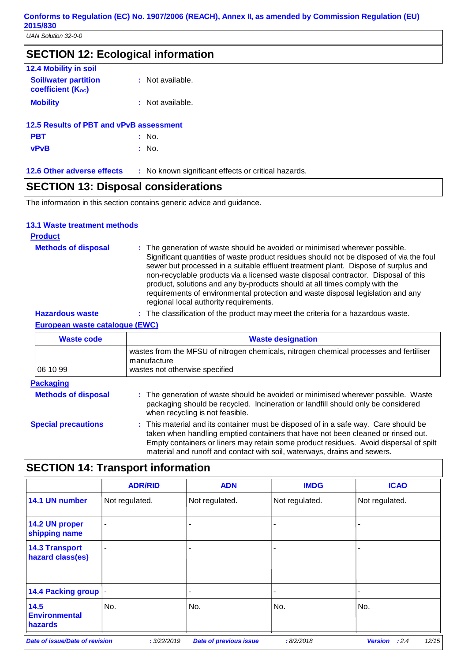| 12.4 Mobility in soil                                   |                  |
|---------------------------------------------------------|------------------|
| <b>Soil/water partition</b><br><b>coefficient (Koc)</b> | : Not available. |
| <b>Mobility</b>                                         | : Not available. |
| 12.5 Results of PBT and vPvB assessment                 |                  |
| <b>PBT</b>                                              | : No.            |
| <b>vPvB</b>                                             | : No.            |

**12.6 Other adverse effects** : No known significant effects or critical hazards.

### **SECTION 13: Disposal considerations**

The information in this section contains generic advice and guidance.

### **13.1 Waste treatment methods**

### **Product**

| <b>Methods of disposal</b> | : The generation of waste should be avoided or minimised wherever possible.<br>Significant quantities of waste product residues should not be disposed of via the foul<br>sewer but processed in a suitable effluent treatment plant. Dispose of surplus and<br>non-recyclable products via a licensed waste disposal contractor. Disposal of this<br>product, solutions and any by-products should at all times comply with the<br>requirements of environmental protection and waste disposal legislation and any<br>regional local authority requirements. |
|----------------------------|---------------------------------------------------------------------------------------------------------------------------------------------------------------------------------------------------------------------------------------------------------------------------------------------------------------------------------------------------------------------------------------------------------------------------------------------------------------------------------------------------------------------------------------------------------------|
|----------------------------|---------------------------------------------------------------------------------------------------------------------------------------------------------------------------------------------------------------------------------------------------------------------------------------------------------------------------------------------------------------------------------------------------------------------------------------------------------------------------------------------------------------------------------------------------------------|

| <b>Hazardous waste</b> |  | . The classification of the product may meet the criteria for a hazardous waste. |
|------------------------|--|----------------------------------------------------------------------------------|
|                        |  |                                                                                  |

### **European waste catalogue (EWC)**

| <b>Waste code</b>          | <b>Waste designation</b>                                                                                                                                                                                                                                                                                                                     |  |  |
|----------------------------|----------------------------------------------------------------------------------------------------------------------------------------------------------------------------------------------------------------------------------------------------------------------------------------------------------------------------------------------|--|--|
| 06 10 99                   | wastes from the MFSU of nitrogen chemicals, nitrogen chemical processes and fertiliser<br>manufacture<br>wastes not otherwise specified                                                                                                                                                                                                      |  |  |
| <b>Packaging</b>           |                                                                                                                                                                                                                                                                                                                                              |  |  |
| <b>Methods of disposal</b> | : The generation of waste should be avoided or minimised wherever possible. Waste<br>packaging should be recycled. Incineration or landfill should only be considered<br>when recycling is not feasible.                                                                                                                                     |  |  |
| <b>Special precautions</b> | : This material and its container must be disposed of in a safe way. Care should be<br>taken when handling emptied containers that have not been cleaned or rinsed out.<br>Empty containers or liners may retain some product residues. Avoid dispersal of spilt<br>material and runoff and contact with soil, waterways, drains and sewers. |  |  |

# **SECTION 14: Transport information**

| <b>ADR/RID</b>           | <b>ADN</b>               | <b>IMDG</b>    | <b>ICAO</b>    |
|--------------------------|--------------------------|----------------|----------------|
| Not regulated.           | Not regulated.           | Not regulated. | Not regulated. |
| $\blacksquare$           |                          |                |                |
| $\overline{\phantom{a}}$ | $\overline{\phantom{0}}$ |                |                |
| 14.4 Packing group  -    | ٠                        |                |                |
| No.                      | No.                      | No.            | No.            |
|                          |                          |                |                |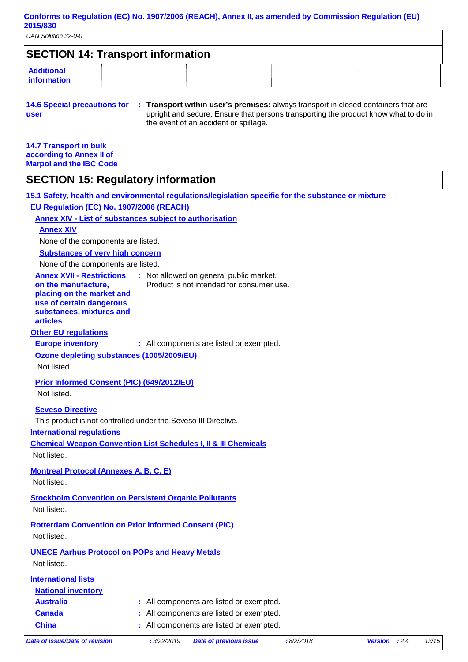| <b>SECTION 14: Transport information</b> |  |  |  |  |  |  |
|------------------------------------------|--|--|--|--|--|--|
| <b>Additional</b><br><b>Information</b>  |  |  |  |  |  |  |

| 14.6 Special precautions for | : Transport within user's premises: always transport in closed containers that are  |
|------------------------------|-------------------------------------------------------------------------------------|
| user                         | upright and secure. Ensure that persons transporting the product know what to do in |
|                              | the event of an accident or spillage.                                               |

| <b>14.7 Transport in bulk</b>  |
|--------------------------------|
| according to Annex II of       |
| <b>Marpol and the IBC Code</b> |

### **SECTION 15: Regulatory information**

**15.1 Safety, health and environmental regulations/legislation specific for the substance or mixture**

**EU Regulation (EC) No. 1907/2006 (REACH)**

**Annex XIV - List of substances subject to authorisation**

### **Annex XIV**

None of the components are listed.

**Substances of very high concern**

None of the components are listed.

| Date of issue/Date of revision                                                                                                                                  | : 3/22/2019 | <b>Date of previous issue</b>                                                        | :8/2/2018 | Version : 2.4 | 13/15 |
|-----------------------------------------------------------------------------------------------------------------------------------------------------------------|-------------|--------------------------------------------------------------------------------------|-----------|---------------|-------|
| <b>China</b>                                                                                                                                                    |             | : All components are listed or exempted.                                             |           |               |       |
| <b>Canada</b>                                                                                                                                                   |             | : All components are listed or exempted.                                             |           |               |       |
| <b>Australia</b>                                                                                                                                                |             | : All components are listed or exempted.                                             |           |               |       |
| <b>National inventory</b>                                                                                                                                       |             |                                                                                      |           |               |       |
| <b>International lists</b>                                                                                                                                      |             |                                                                                      |           |               |       |
| <b>UNECE Aarhus Protocol on POPs and Heavy Metals</b><br>Not listed.                                                                                            |             |                                                                                      |           |               |       |
| <b>Rotterdam Convention on Prior Informed Consent (PIC)</b><br>Not listed.                                                                                      |             |                                                                                      |           |               |       |
| <b>Stockholm Convention on Persistent Organic Pollutants</b><br>Not listed.                                                                                     |             |                                                                                      |           |               |       |
| <b>Montreal Protocol (Annexes A, B, C, E)</b><br>Not listed.                                                                                                    |             |                                                                                      |           |               |       |
| <b>International regulations</b><br><b>Chemical Weapon Convention List Schedules I, II &amp; III Chemicals</b><br>Not listed.                                   |             |                                                                                      |           |               |       |
| This product is not controlled under the Seveso III Directive.                                                                                                  |             |                                                                                      |           |               |       |
| <b>Seveso Directive</b>                                                                                                                                         |             |                                                                                      |           |               |       |
| <b>Prior Informed Consent (PIC) (649/2012/EU)</b><br>Not listed.                                                                                                |             |                                                                                      |           |               |       |
| Ozone depleting substances (1005/2009/EU)<br>Not listed.                                                                                                        |             |                                                                                      |           |               |       |
| <b>Other EU regulations</b><br><b>Europe inventory</b>                                                                                                          |             | : All components are listed or exempted.                                             |           |               |       |
| <b>Annex XVII - Restrictions</b><br>on the manufacture,<br>placing on the market and<br>use of certain dangerous<br>substances, mixtures and<br><b>articles</b> |             | : Not allowed on general public market.<br>Product is not intended for consumer use. |           |               |       |
|                                                                                                                                                                 |             |                                                                                      |           |               |       |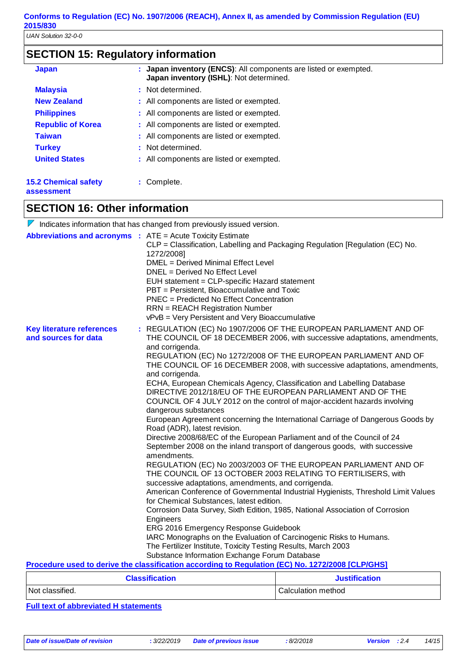# **SECTION 15: Regulatory information**

| <b>Japan</b>                | : Japan inventory (ENCS): All components are listed or exempted.<br>Japan inventory (ISHL): Not determined. |
|-----------------------------|-------------------------------------------------------------------------------------------------------------|
| <b>Malaysia</b>             | : Not determined.                                                                                           |
| <b>New Zealand</b>          | : All components are listed or exempted.                                                                    |
| <b>Philippines</b>          | : All components are listed or exempted.                                                                    |
| <b>Republic of Korea</b>    | : All components are listed or exempted.                                                                    |
| <b>Taiwan</b>               | : All components are listed or exempted.                                                                    |
| <b>Turkey</b>               | : Not determined.                                                                                           |
| <b>United States</b>        | : All components are listed or exempted.                                                                    |
| <b>15.2 Chemical safety</b> | : Complete.                                                                                                 |

**assessment**

### **SECTION 16: Other information**

 $\nabla$  Indicates information that has changed from previously issued version.

| <b>Abbreviations and acronyms : ATE = Acute Toxicity Estimate</b> |                                                                                                                               |                                                                                                                                               |  |  |  |
|-------------------------------------------------------------------|-------------------------------------------------------------------------------------------------------------------------------|-----------------------------------------------------------------------------------------------------------------------------------------------|--|--|--|
|                                                                   |                                                                                                                               | CLP = Classification, Labelling and Packaging Regulation [Regulation (EC) No.                                                                 |  |  |  |
|                                                                   | 1272/2008]                                                                                                                    |                                                                                                                                               |  |  |  |
|                                                                   | DMEL = Derived Minimal Effect Level                                                                                           |                                                                                                                                               |  |  |  |
|                                                                   | DNEL = Derived No Effect Level                                                                                                |                                                                                                                                               |  |  |  |
|                                                                   | EUH statement = CLP-specific Hazard statement                                                                                 |                                                                                                                                               |  |  |  |
|                                                                   | PBT = Persistent, Bioaccumulative and Toxic                                                                                   |                                                                                                                                               |  |  |  |
|                                                                   | <b>PNEC</b> = Predicted No Effect Concentration                                                                               |                                                                                                                                               |  |  |  |
|                                                                   | <b>RRN</b> = REACH Registration Number                                                                                        |                                                                                                                                               |  |  |  |
|                                                                   | vPvB = Very Persistent and Very Bioaccumulative                                                                               |                                                                                                                                               |  |  |  |
| <b>Key literature references</b><br>and sources for data          | and corrigenda.                                                                                                               | : REGULATION (EC) No 1907/2006 OF THE EUROPEAN PARLIAMENT AND OF<br>THE COUNCIL OF 18 DECEMBER 2006, with successive adaptations, amendments, |  |  |  |
|                                                                   | and corrigenda.                                                                                                               | REGULATION (EC) No 1272/2008 OF THE EUROPEAN PARLIAMENT AND OF<br>THE COUNCIL OF 16 DECEMBER 2008, with successive adaptations, amendments,   |  |  |  |
|                                                                   |                                                                                                                               | ECHA, European Chemicals Agency, Classification and Labelling Database                                                                        |  |  |  |
|                                                                   |                                                                                                                               | DIRECTIVE 2012/18/EU OF THE EUROPEAN PARLIAMENT AND OF THE                                                                                    |  |  |  |
|                                                                   | dangerous substances                                                                                                          | COUNCIL OF 4 JULY 2012 on the control of major-accident hazards involving                                                                     |  |  |  |
|                                                                   | Road (ADR), latest revision.                                                                                                  | European Agreement concerning the International Carriage of Dangerous Goods by                                                                |  |  |  |
|                                                                   | Directive 2008/68/EC of the European Parliament and of the Council of 24                                                      |                                                                                                                                               |  |  |  |
|                                                                   | amendments.                                                                                                                   | September 2008 on the inland transport of dangerous goods, with successive                                                                    |  |  |  |
|                                                                   |                                                                                                                               | REGULATION (EC) No 2003/2003 OF THE EUROPEAN PARLIAMENT AND OF<br>THE COUNCIL OF 13 OCTOBER 2003 RELATING TO FERTILISERS, with                |  |  |  |
|                                                                   | successive adaptations, amendments, and corrigenda.                                                                           |                                                                                                                                               |  |  |  |
|                                                                   | American Conference of Governmental Industrial Hygienists, Threshold Limit Values<br>for Chemical Substances, latest edition. |                                                                                                                                               |  |  |  |
|                                                                   |                                                                                                                               |                                                                                                                                               |  |  |  |
|                                                                   | Corrosion Data Survey, Sixth Edition, 1985, National Association of Corrosion<br>Engineers                                    |                                                                                                                                               |  |  |  |
|                                                                   | ERG 2016 Emergency Response Guidebook                                                                                         |                                                                                                                                               |  |  |  |
|                                                                   | IARC Monographs on the Evaluation of Carcinogenic Risks to Humans.                                                            |                                                                                                                                               |  |  |  |
|                                                                   | The Fertilizer Institute, Toxicity Testing Results, March 2003                                                                |                                                                                                                                               |  |  |  |
|                                                                   | Substance Information Exchange Forum Database                                                                                 |                                                                                                                                               |  |  |  |
|                                                                   | Procedure used to derive the classification according to Regulation (EC) No. 1272/2008 [CLP/GHS]                              |                                                                                                                                               |  |  |  |
|                                                                   | <b>Classification</b>                                                                                                         | Justification                                                                                                                                 |  |  |  |

| <b>Classification</b> | <b>Justification</b> |  |
|-----------------------|----------------------|--|
| Not classified.       | Calculation method   |  |

**Full text of abbreviated H statements**